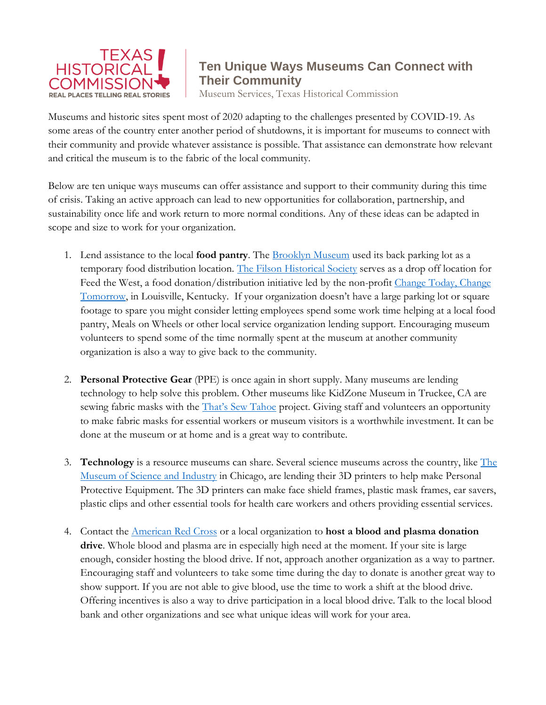

## **Ten Unique Ways Museums Can Connect with Their Community**

Museum Services, Texas Historical Commission

Museums and historic sites spent most of 2020 adapting to the challenges presented by COVID-19. As some areas of the country enter another period of shutdowns, it is important for museums to connect with their community and provide whatever assistance is possible. That assistance can demonstrate how relevant and critical the museum is to the fabric of the local community.

Below are ten unique ways museums can offer assistance and support to their community during this time of crisis. Taking an active approach can lead to new opportunities for collaboration, partnership, and sustainability once life and work return to more normal conditions. Any of these ideas can be adapted in scope and size to work for your organization.

- 1. Lend assistance to the local **food pantry**. The [Brooklyn Museum](https://www.timeout.com/newyork/news/brooklyn-museum-will-become-a-temporary-food-pantry-starting-in-june-052820) used its back parking lot as a temporary food distribution location. [The Filson Historical Society](https://filsonhistorical.org/) serves as a drop off location for Feed the West, a food donation/distribution initiative led by the non-profit Change Today, Change [Tomorrow,](https://change-today.org/) in Louisville, Kentucky. If your organization doesn't have a large parking lot or square footage to spare you might consider letting employees spend some work time helping at a local food pantry, Meals on Wheels or other local service organization lending support. Encouraging museum volunteers to spend some of the time normally spent at the museum at another community organization is also a way to give back to the community.
- 2. **Personal Protective Gear** (PPE) is once again in short supply. Many museums are lending technology to help solve this problem. Other museums like KidZone Museum in Truckee, CA are sewing fabric masks with the **[That's Sew Tahoe](https://kidzonemuseum.org/thats-sew-tahoe/)** project. Giving staff and volunteers an opportunity to make fabric masks for essential workers or museum visitors is a worthwhile investment. It can be done at the museum or at home and is a great way to contribute.
- 3. **Technology** is a resource museums can share. Several science museums across the country, like [The](https://www.chicagotribune.com/coronavirus/ct-ent-museums-coronavirus-response-face-masks-0414-20200413-olbwgnlevnfflfbyleizudxngi-story.html)  [Museum of Science and Industry](https://www.chicagotribune.com/coronavirus/ct-ent-museums-coronavirus-response-face-masks-0414-20200413-olbwgnlevnfflfbyleizudxngi-story.html) in Chicago, are lending their 3D printers to help make Personal Protective Equipment. The 3D printers can make face shield frames, plastic mask frames, ear savers, plastic clips and other essential tools for health care workers and others providing essential services.
- 4. Contact the [American Red Cross](https://www.redcrossblood.org/hosting-a-blood-drive/learn-about-hosting/how-hosting-a-blood-drive-works/apply-to-host-a-blood-drive.html) or a local organization to **host a blood and plasma donation drive**. Whole blood and plasma are in especially high need at the moment. If your site is large enough, consider hosting the blood drive. If not, approach another organization as a way to partner. Encouraging staff and volunteers to take some time during the day to donate is another great way to show support. If you are not able to give blood, use the time to work a shift at the blood drive. Offering incentives is also a way to drive participation in a local blood drive. Talk to the local blood bank and other organizations and see what unique ideas will work for your area.